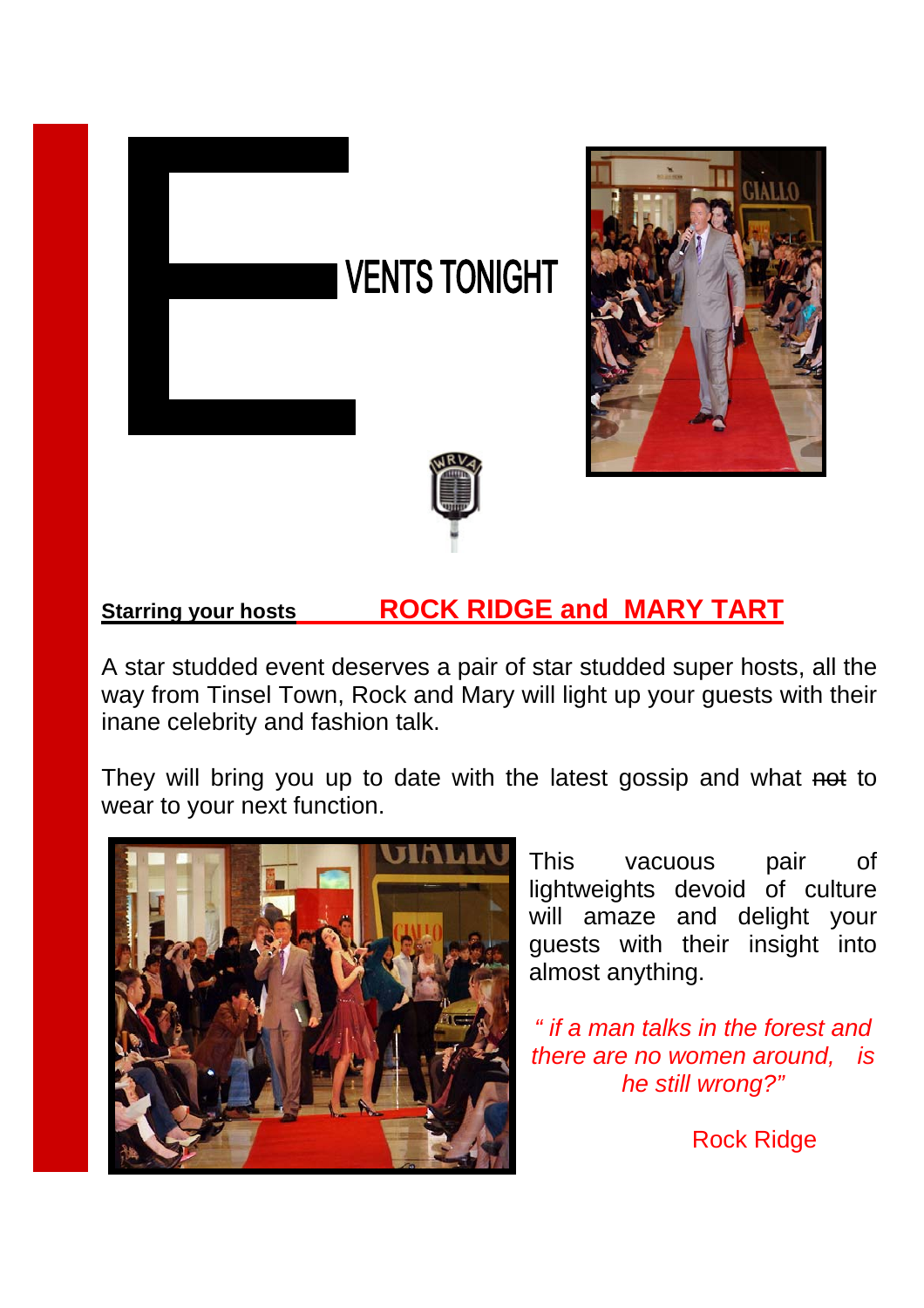## **VENTS TONIGHT**





## **Starring your hosts ROCK RIDGE and MARY TART**

i

A star studded event deserves a pair of star studded super hosts, all the way from Tinsel Town, Rock and Mary will light up your guests with their inane celebrity and fashion talk.

They will bring you up to date with the latest gossip and what not to wear to your next function.



This vacuous pair of lightweights devoid of culture will amaze and delight your guests with their insight into almost anything.

*" if a man talks in the forest and there are no women around, is he still wrong?"* 

Rock Ridge